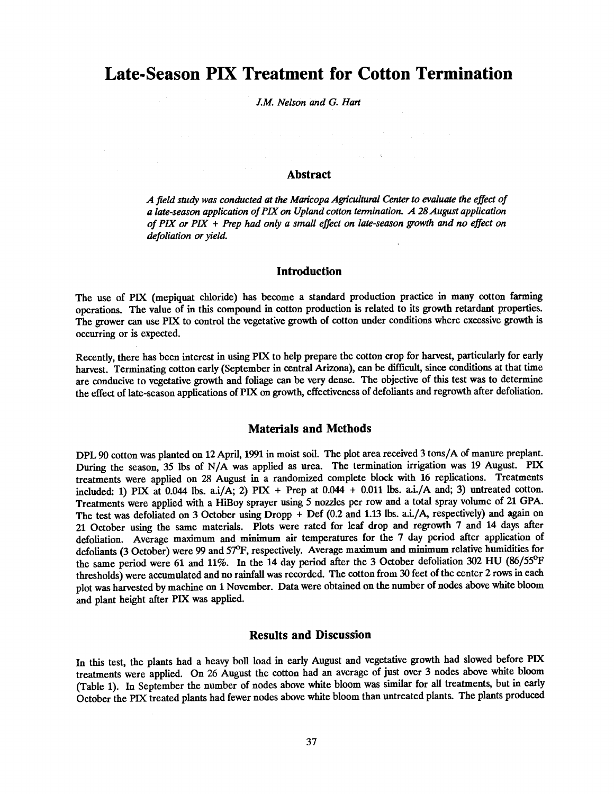# Late-Season PIX Treatment for Cotton Termination

J.M. Nelson and G. Hart

#### Abstract

A field study was conducted at the Maricopa Agricultural Center to evaluate the effect of a late-season application of PIX on Upland cotton termination.  $A$  28 August application of PIX or  $PIX$  + Prep had only a small effect on late-season growth and no effect on defoliation or yield.

## Introduction

The use of PIX (mepiquat chloride) has become a standard production practice in many cotton farming operations. The value of in this compound in cotton production is related to its growth retardant properties. The grower can use PIX to control the vegetative growth of cotton under conditions where excessive growth is occurring or is expected.

Recently, there has been interest in using PIX to help prepare the cotton crop for harvest, particularly for early harvest. Terminating cotton early (September in central Arizona), can be difficult, since conditions at that time are conducive to vegetative growth and foliage can be very dense. The objective of this test was to determine the effect of late- season applications of PIX on growth, effectiveness of defoliants and regrowth after defoliation.

### Materials and Methods

DPL 90 cotton was planted on 12 April, 1991 in moist soil. The plot area received 3 tons /A of manure preplant. During the season, 35 lbs of N/A was applied as urea. The termination irrigation was 19 August. PIX treatments were applied on 28 August in a randomized complete block with 16 replications. Treatments included: 1) PIX at 0.044 lbs. a.i/A; 2) PIX + Prep at  $0.044 + 0.011$  lbs. a.i./A and; 3) untreated cotton. Treatments were applied with a HiBoy sprayer using 5 nozzles per row and a total spray volume of 21 GPA. The test was defoliated on 3 October using Dropp + Def (0.2 and 1.13 lbs. a.i./A, respectively) and again on 21 October using the same materials. Plots were rated for leaf drop and regrowth 7 and 14 days after defoliation. Average maximum and minimum air temperatures for the 7 day period after application of defoliants (3 October) were 99 and 57°F, respectively. Average maximum and minimum relative humidities for the same period were 61 and 11%. In the 14 day period after the 3 October defoliation 302 HU (86/55°F thresholds) were accumulated and no rainfall was recorded. The cotton from 30 feet of the center 2 rows in each plot was harvested by machine on 1 November. Data were obtained on the number of nodes above white bloom and plant height after PIX was applied.

## Results and Discussion

In this test, the plants had a heavy boll load in early August and vegetative growth had slowed before PIX treatments were applied. On 26 August the cotton had an average of just over 3 nodes above white bloom (Table 1). In September the number of nodes above white bloom was similar for all treatments, but in early October the PIX treated plants had fewer nodes above white bloom than untreated plants. The plants produced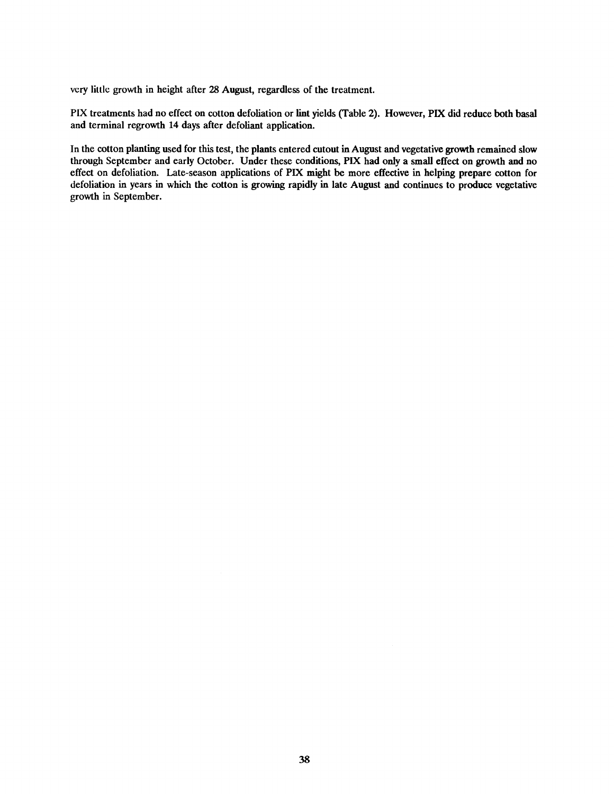very little growth in height after 28 August, regardless of the treatment.

PIX treatments had no effect on cotton defoliation or lint yields (Table 2). However, PIX did reduce both basal and terminal regrowth 14 days after defoliant application.

In the cotton planting used for this test, the plants entered cutout in August and vegetative growth remained slow through September and early October. Under these conditions, PIX had only a small effect on growth and no effect on defoliation. Late -season applications of PIX might be more effective in helping prepare cotton for defoliation in years in which the cotton is growing rapidly in late August and continues to produce vegetative growth in September.